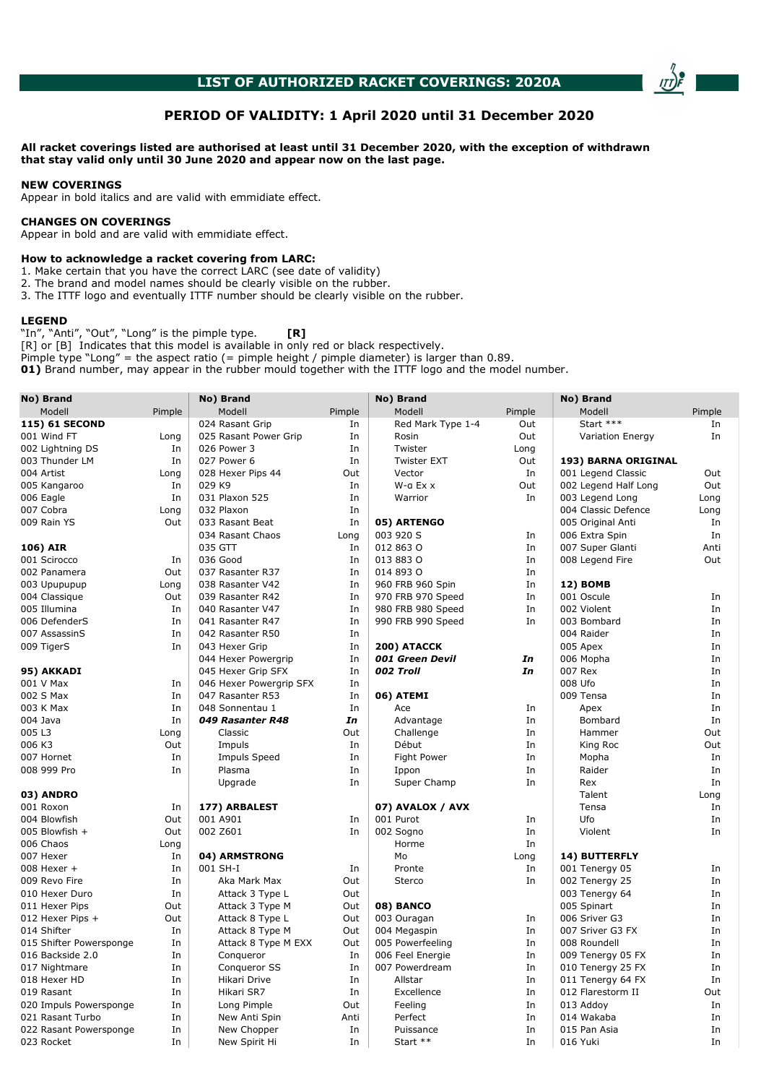

# PERIOD OF VALIDITY: 1 April 2020 until 31 December 2020

### All racket coverings listed are authorised at least until 31 December 2020, with the exception of withdrawn that stay valid only until 30 June 2020 and appear now on the last page.

### NEW COVERINGS

Appear in bold italics and are valid with emmidiate effect.

# CHANGES ON COVERINGS

Appear in bold and are valid with emmidiate effect.

### How to acknowledge a racket covering from LARC:

- 1. Make certain that you have the correct LARC (see date of validity)
- 2. The brand and model names should be clearly visible on the rubber.
- 3. The ITTF logo and eventually ITTF number should be clearly visible on the rubber.

#### LEGEND

"In", "Anti", "Out", "Long" is the pimple type.  $\qquad \qquad \textbf{[R]}$ 

[R] or [B] Indicates that this model is available in only red or black respectively.

Pimple type "Long" = the aspect ratio (= pimple height / pimple diameter) is larger than  $0.89$ .

01) Brand number, may appear in the rubber mould together with the ITTF logo and the model number.

| No) Brand               |        | No) Brand               |        | No) Brand          |        | No) Brand               |        |
|-------------------------|--------|-------------------------|--------|--------------------|--------|-------------------------|--------|
| Modell                  | Pimple | Modell                  | Pimple | Modell             | Pimple | Modell                  | Pimple |
| 115) 61 SECOND          |        | 024 Rasant Grip         | In     | Red Mark Type 1-4  | Out    | Start ***               | In     |
| 001 Wind FT             | Long   | 025 Rasant Power Grip   | In     | Rosin              | Out    | <b>Variation Energy</b> | In     |
| 002 Lightning DS        | In     | 026 Power 3             | In     | Twister            | Long   |                         |        |
| 003 Thunder LM          | In     | 027 Power 6             | In     | <b>Twister EXT</b> | Out    | 193) BARNA ORIGINAL     |        |
| 004 Artist              | Long   | 028 Hexer Pips 44       | Out    | Vector             | In     | 001 Legend Classic      | Out    |
| 005 Kangaroo            | In     | 029 K9                  | In     | W-a Ex x           | Out    | 002 Legend Half Long    | Out    |
| 006 Eagle               | In     | 031 Plaxon 525          | In     | Warrior            | In     | 003 Legend Long         | Long   |
| 007 Cobra               | Long   | 032 Plaxon              | In     |                    |        | 004 Classic Defence     | Long   |
| 009 Rain YS             | Out    | 033 Rasant Beat         | In     | 05) ARTENGO        |        | 005 Original Anti       | In     |
|                         |        | 034 Rasant Chaos        | Long   | 003 920 S          | In     | 006 Extra Spin          | In     |
| 106) AIR                |        | 035 GTT                 | In     | 012 863 0          | In     | 007 Super Glanti        | Anti   |
| 001 Scirocco            | In     | 036 Good                | In     | 013 883 0          | In     | 008 Legend Fire         | Out    |
| 002 Panamera            | Out    | 037 Rasanter R37        | In     | 014 893 0          | In     |                         |        |
| 003 Upupupup            | Long   | 038 Rasanter V42        | In     | 960 FRB 960 Spin   | In     | <b>12) BOMB</b>         |        |
| 004 Classique           | Out    | 039 Rasanter R42        | In     | 970 FRB 970 Speed  | In     | 001 Oscule              | In     |
| 005 Illumina            | In     | 040 Rasanter V47        | In     | 980 FRB 980 Speed  | In     | 002 Violent             | In     |
| 006 DefenderS           | In     | 041 Rasanter R47        | In     | 990 FRB 990 Speed  | In     | 003 Bombard             | In     |
| 007 AssassinS           | In     | 042 Rasanter R50        | In     |                    |        | 004 Raider              | In     |
| 009 TigerS              | In     | 043 Hexer Grip          | In     | 200) ATACCK        |        | 005 Apex                | In     |
|                         |        | 044 Hexer Powergrip     | In     | 001 Green Devil    | In     | 006 Mopha               | In     |
| 95) AKKADI              |        | 045 Hexer Grip SFX      | In     | 002 Troll          | In     | 007 Rex                 | In     |
| 001 V Max               | In     | 046 Hexer Powergrip SFX | In     |                    |        | 008 Ufo                 | In     |
| 002 S Max               | In     | 047 Rasanter R53        | In     | 06) ATEMI          |        | 009 Tensa               | In     |
| 003 K Max               | In     | 048 Sonnentau 1         | In     | Ace                | In     | Apex                    | In     |
| 004 Java                | In     | 049 Rasanter R48        | In     | Advantage          | In     | Bombard                 | In     |
| 005 L3                  | Long   | Classic                 | Out    | Challenge          | In     | Hammer                  | Out    |
| 006 K3                  | Out    | Impuls                  | In     | Début              | In     | King Roc                | Out    |
| 007 Hornet              | In     | <b>Impuls Speed</b>     | In     | Fight Power        | In     | Mopha                   | In     |
| 008 999 Pro             | In     | Plasma                  | In     | Ippon              | In     | Raider                  | In     |
|                         |        | Upgrade                 | In     | Super Champ        | In     | Rex                     | In     |
| 03) ANDRO               |        |                         |        |                    |        | Talent                  | Long   |
| 001 Roxon               | In     | 177) ARBALEST           |        | 07) AVALOX / AVX   |        | Tensa                   | In     |
| 004 Blowfish            | Out    | 001 A901                | In     | 001 Purot          | In     | Ufo                     | In     |
| 005 Blowfish +          | Out    | 002 Z601                | In     | 002 Sogno          | In     | Violent                 | In     |
| 006 Chaos               |        |                         |        |                    | In     |                         |        |
|                         | Long   |                         |        | Horme              |        |                         |        |
| 007 Hexer               | In     | 04) ARMSTRONG           |        | Mo                 | Long   | 14) BUTTERFLY           |        |
| 008 Hexer +             | In     | 001 SH-I                | In     | Pronte             | In     | 001 Tenergy 05          | In     |
| 009 Revo Fire           | In     | Aka Mark Max            | Out    | Sterco             | In     | 002 Tenergy 25          | In     |
| 010 Hexer Duro          | In     | Attack 3 Type L         | Out    |                    |        | 003 Tenergy 64          | In     |
| 011 Hexer Pips          | Out    | Attack 3 Type M         | Out    | 08) BANCO          |        | 005 Spinart             | In     |
| 012 Hexer Pips +        | Out    | Attack 8 Type L         | Out    | 003 Ouragan        | In     | 006 Sriver G3           | In     |
| 014 Shifter             | In     | Attack 8 Type M         | Out    | 004 Megaspin       | In     | 007 Sriver G3 FX        | In     |
| 015 Shifter Powersponge | In     | Attack 8 Type M EXX     | Out    | 005 Powerfeeling   | In     | 008 Roundell            | In     |
| 016 Backside 2.0        | In     | Conqueror               | In     | 006 Feel Energie   | In     | 009 Tenergy 05 FX       | In     |
| 017 Nightmare           | In     | Conqueror SS            | In     | 007 Powerdream     | In     | 010 Tenergy 25 FX       | In     |
| 018 Hexer HD            | In     | Hikari Drive            | In     | Allstar            | In     | 011 Tenergy 64 FX       | In     |
| 019 Rasant              | In     | Hikari SR7              | In     | Excellence         | In     | 012 Flarestorm II       | Out    |
| 020 Impuls Powersponge  | In     | Long Pimple             | Out    | Feeling            | In     | 013 Addoy               | In     |
| 021 Rasant Turbo        | In     | New Anti Spin           | Anti   | Perfect            | In     | 014 Wakaba              | In     |
| 022 Rasant Powersponge  | In     | New Chopper             | In     | Puissance          | In     | 015 Pan Asia            | In     |
| 023 Rocket              | In     | New Spirit Hi           | In     | Start **           | In     | 016 Yuki                | In     |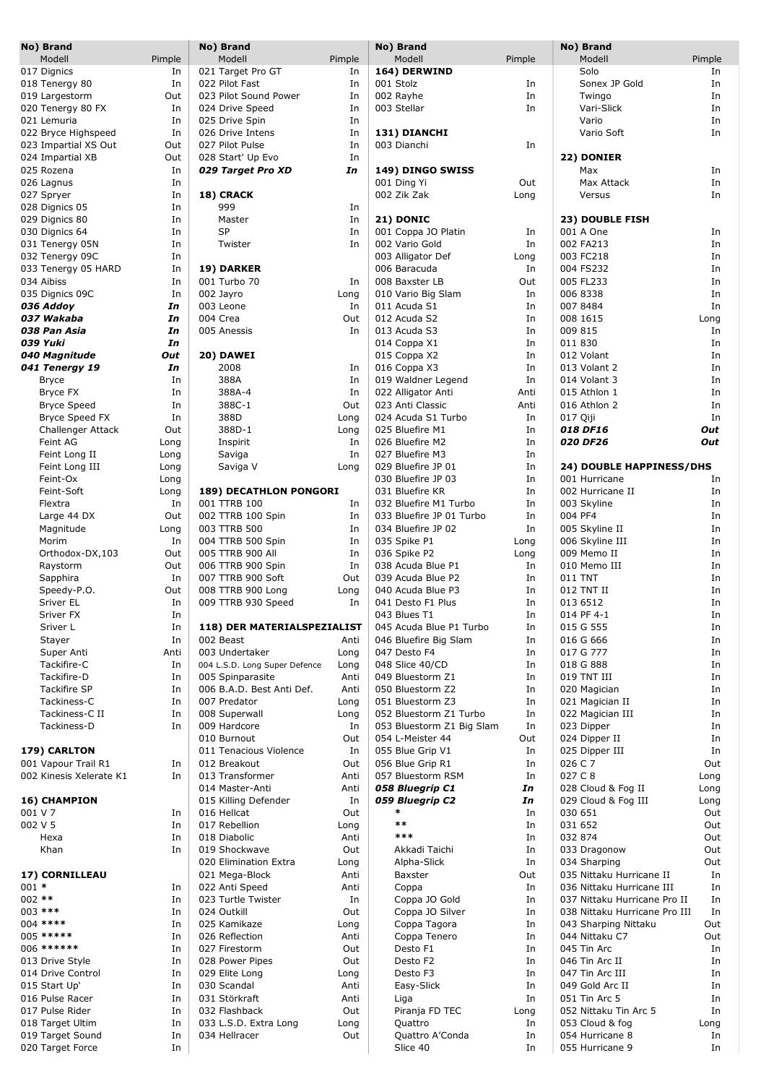|          | No) Brand               |        | No) Brand                     |        | No) Brand                 |        | No) Brand                     |        |
|----------|-------------------------|--------|-------------------------------|--------|---------------------------|--------|-------------------------------|--------|
|          | Modell                  | Pimple | Modell                        | Pimple | Modell                    | Pimple | Modell                        | Pimple |
|          | 017 Dignics             | In     | 021 Target Pro GT             | In     | 164) DERWIND              |        | Solo                          | In     |
|          | 018 Tenergy 80          | In     | 022 Pilot Fast                | In     | 001 Stolz                 | In     | Sonex JP Gold                 | In     |
|          | 019 Largestorm          | Out    | 023 Pilot Sound Power         | In     | 002 Rayhe                 | In     | Twingo                        | In     |
|          | 020 Tenergy 80 FX       | In     | 024 Drive Speed               | In     | 003 Stellar               | In     | Vari-Slick                    | In     |
|          | 021 Lemuria             | In     | 025 Drive Spin                | In     |                           |        | Vario                         | In     |
|          | 022 Bryce Highspeed     | In     | 026 Drive Intens              | In     | 131) DIANCHI              |        | Vario Soft                    | In     |
|          | 023 Impartial XS Out    | Out    | 027 Pilot Pulse               | In     | 003 Dianchi               | In     |                               |        |
|          |                         |        |                               |        |                           |        |                               |        |
|          | 024 Impartial XB        | Out    | 028 Start' Up Evo             | In     |                           |        | 22) DONIER                    |        |
|          | 025 Rozena              | In     | 029 Target Pro XD             | In     | 149) DINGO SWISS          |        | Max                           | In     |
|          | 026 Lagnus              | In     |                               |        | 001 Ding Yi               | Out    | Max Attack                    | In     |
|          | 027 Spryer              | In     | 18) CRACK                     |        | 002 Zik Zak               | Long   | Versus                        | In     |
|          | 028 Dignics 05          | In     | 999                           | In     |                           |        |                               |        |
|          | 029 Dignics 80          | In     | Master                        | In     | <b>21) DONIC</b>          |        | 23) DOUBLE FISH               |        |
|          | 030 Dignics 64          | In     | <b>SP</b>                     | In     | 001 Coppa JO Platin       | In     | 001 A One                     | In     |
|          | 031 Tenergy 05N         | In     | Twister                       | In     | 002 Vario Gold            | In     | 002 FA213                     | In     |
|          | 032 Tenergy 09C         | In     |                               |        | 003 Alligator Def         | Long   | 003 FC218                     | In     |
|          | 033 Tenergy 05 HARD     | In     | 19) DARKER                    |        | 006 Baracuda              | In     | 004 FS232                     | In     |
|          |                         |        |                               |        | 008 Baxster LB            |        |                               |        |
|          | 034 Aibiss              | In     | 001 Turbo 70                  | In     |                           | Out    | 005 FL233                     | In     |
|          | 035 Dignics 09C         | In     | 002 Jayro                     | Long   | 010 Vario Big Slam        | In     | 006 8338                      | In     |
|          | 036 Addov               | In     | 003 Leone                     | In     | 011 Acuda S1              | In     | 007 8484                      | In     |
|          | 037 Wakaba              | In     | 004 Crea                      | Out    | 012 Acuda S2              | In     | 008 1615                      | Long   |
|          | 038 Pan Asia            | In     | 005 Anessis                   | In     | 013 Acuda S3              | In     | 009 815                       | In     |
|          | 039 Yuki                | In     |                               |        | 014 Coppa X1              | In     | 011 830                       | In     |
|          | 040 Magnitude           | Out    | 20) DAWEI                     |        | 015 Coppa X2              | In     | 012 Volant                    | In     |
|          | 041 Tenergy 19          | In     | 2008                          | In     | 016 Coppa X3              | In     | 013 Volant 2                  | In     |
|          | Bryce                   | In     | 388A                          | In     | 019 Waldner Legend        | In     | 014 Volant 3                  | In     |
|          | Bryce FX                | In     | 388A-4                        | In     | 022 Alligator Anti        | Anti   | 015 Athlon 1                  | In     |
|          | <b>Bryce Speed</b>      | In     | 388C-1                        | Out    | 023 Anti Classic          | Anti   | 016 Athlon 2                  | In     |
|          |                         |        |                               |        |                           |        |                               |        |
|          | <b>Bryce Speed FX</b>   | In     | 388D                          | Long   | 024 Acuda S1 Turbo        | In     | 017 Qiji                      | In     |
|          | Challenger Attack       | Out    | 388D-1                        | Long   | 025 Bluefire M1           | In     | 018 DF16                      | Out    |
|          | Feint AG                | Long   | Inspirit                      | In     | 026 Bluefire M2           | In     | 020 DF26                      | Out    |
|          | Feint Long II           | Long   | Saviga                        | In     | 027 Bluefire M3           | In     |                               |        |
|          | Feint Long III          | Long   | Saviga V                      | Long   | 029 Bluefire JP 01        | In     | 24) DOUBLE HAPPINESS/DHS      |        |
|          | Feint-Ox                | Long   |                               |        | 030 Bluefire JP 03        | In     | 001 Hurricane                 | In     |
|          | Feint-Soft              | Long   | <b>189) DECATHLON PONGORI</b> |        | 031 Bluefire KR           | In     | 002 Hurricane II              | In     |
|          | Flextra                 | In     | 001 TTRB 100                  | In     | 032 Bluefire M1 Turbo     | In     | 003 Skyline                   | In     |
|          | Large 44 DX             | Out    | 002 TTRB 100 Spin             | In     | 033 Bluefire JP 01 Turbo  | In     | 004 PF4                       | In     |
|          | Magnitude               | Long   | 003 TTRB 500                  | In     | 034 Bluefire JP 02        | In     | 005 Skyline II                | In     |
|          | Morim                   | In     | 004 TTRB 500 Spin             | In     | 035 Spike P1              | Long   | 006 Skyline III               | In     |
|          | Orthodox-DX,103         | Out    | 005 TTRB 900 All              | In     | 036 Spike P2              | Long   | 009 Memo II                   | In     |
|          |                         |        |                               |        |                           |        |                               |        |
|          | Raystorm                | Out    | 006 TTRB 900 Spin             | In     | 038 Acuda Blue P1         | In     | 010 Memo III                  | In     |
|          | Sapphira                | In     | 007 TTRB 900 Soft             | Out    | 039 Acuda Blue P2         | In     | 011 TNT                       | In     |
|          | Speedy-P.O.             | Out    | 008 TTRB 900 Long             | Long   | 040 Acuda Blue P3         | In     | 012 TNT II                    | In     |
|          | Sriver EL               | In     | 009 TTRB 930 Speed            | In     | 041 Desto F1 Plus         | In     | 013 6512                      | In     |
|          | Sriver FX               | In     |                               |        | 043 Blues T1              | In     | 014 PF 4-1                    | In     |
|          | Sriver L                | In     | 118) DER MATERIALSPEZIALIST   |        | 045 Acuda Blue P1 Turbo   | In     | 015 G 555                     | In     |
|          | Stayer                  | In     | 002 Beast                     | Anti   | 046 Bluefire Big Slam     | In     | 016 G 666                     | In     |
|          | Super Anti              | Anti   | 003 Undertaker                | Long   | 047 Desto F4              | In     | 017 G 777                     | In     |
|          | Tackifire-C             | In     | 004 L.S.D. Long Super Defence | Long   | 048 Slice 40/CD           | In     | 018 G 888                     | In     |
|          | Tackifire-D             | In     | 005 Spinparasite              | Anti   | 049 Bluestorm Z1          | In     | 019 TNT III                   | In     |
|          | Tackifire SP            | In     | 006 B.A.D. Best Anti Def.     | Anti   | 050 Bluestorm Z2          | In     | 020 Magician                  | In     |
|          | Tackiness-C             | In     | 007 Predator                  | Long   | 051 Bluestorm Z3          | In     | 021 Magician II               | In     |
|          | Tackiness-C II          |        |                               |        |                           |        |                               | In     |
|          |                         | In     | 008 Superwall                 | Long   | 052 Bluestorm Z1 Turbo    | In     | 022 Magician III              |        |
|          | Tackiness-D             | In     | 009 Hardcore                  | In     | 053 Bluestorm Z1 Big Slam | In     | 023 Dipper                    | In     |
|          |                         |        | 010 Burnout                   | Out    | 054 L-Meister 44          | Out    | 024 Dipper II                 | In     |
|          | 179) CARLTON            |        | 011 Tenacious Violence        | In     | 055 Blue Grip V1          | In     | 025 Dipper III                | In     |
|          | 001 Vapour Trail R1     | In     | 012 Breakout                  | Out    | 056 Blue Grip R1          | In     | 026 C 7                       | Out    |
|          | 002 Kinesis Xelerate K1 | In     | 013 Transformer               | Anti   | 057 Bluestorm RSM         | In     | 027 C 8                       | Long   |
|          |                         |        | 014 Master-Anti               | Anti   | 058 Bluegrip C1           | In     | 028 Cloud & Fog II            | Long   |
|          | 16) CHAMPION            |        | 015 Killing Defender          | In     | 059 Bluegrip C2           | In     | 029 Cloud & Fog III           | Long   |
| 001 V 7  |                         | In     | 016 Hellcat                   | Out    | *                         | In     | 030 651                       | Out    |
| 002 V 5  |                         | In     | 017 Rebellion                 | Long   | $***$                     | In     | 031 652                       | Out    |
|          | Hexa                    | In     | 018 Diabolic                  | Anti   | ***                       | In     | 032 874                       | Out    |
|          | Khan                    | In     | 019 Shockwave                 | Out    | Akkadi Taichi             | In     | 033 Dragonow                  | Out    |
|          |                         |        | 020 Elimination Extra         | Long   | Alpha-Slick               | In     | 034 Sharping                  | Out    |
|          | 17) CORNILLEAU          |        | 021 Mega-Block                | Anti   | Baxster                   | Out    | 035 Nittaku Hurricane II      | In     |
| $001 *$  |                         |        |                               |        |                           |        |                               |        |
|          |                         | In     | 022 Anti Speed                | Anti   | Coppa                     | In     | 036 Nittaku Hurricane III     | In     |
| $002$ ** |                         | In     | 023 Turtle Twister            | In     | Coppa JO Gold             | In     | 037 Nittaku Hurricane Pro II  | In     |
|          | 003 ***                 | In     | 024 Outkill                   | Out    | Coppa JO Silver           | In     | 038 Nittaku Hurricane Pro III | In     |
|          | 004 ****                | In     | 025 Kamikaze                  | Long   | Coppa Tagora              | In     | 043 Sharping Nittaku          | Out    |
|          | 005 *****               | In     | 026 Reflection                | Anti   | Coppa Tenero              | In     | 044 Nittaku C7                | Out    |
|          | 006 ******              | In     | 027 Firestorm                 | Out    | Desto F1                  | In     | 045 Tin Arc                   | In     |
|          | 013 Drive Style         | In     | 028 Power Pipes               | Out    | Desto F2                  | In     | 046 Tin Arc II                | In     |
|          | 014 Drive Control       | In     | 029 Elite Long                | Long   | Desto F3                  | In     | 047 Tin Arc III               | In     |
|          | 015 Start Up'           | In     | 030 Scandal                   | Anti   | Easy-Slick                | In     | 049 Gold Arc II               | In     |
|          | 016 Pulse Racer         | In     | 031 Störkraft                 | Anti   | Liga                      | In     | 051 Tin Arc 5                 | In     |
|          | 017 Pulse Rider         | In     | 032 Flashback                 | Out    | Piranja FD TEC            | Long   | 052 Nittaku Tin Arc 5         | In     |
|          | 018 Target Ultim        | In     | 033 L.S.D. Extra Long         |        | Quattro                   |        | 053 Cloud & fog               |        |
|          |                         |        |                               | Long   |                           | In     | 054 Hurricane 8               | Long   |
|          | 019 Target Sound        | In     | 034 Hellracer                 | Out    | Quattro A'Conda           | In     |                               | In     |
|          | 020 Target Force        | In     |                               |        | Slice 40                  | In     | 055 Hurricane 9               | In     |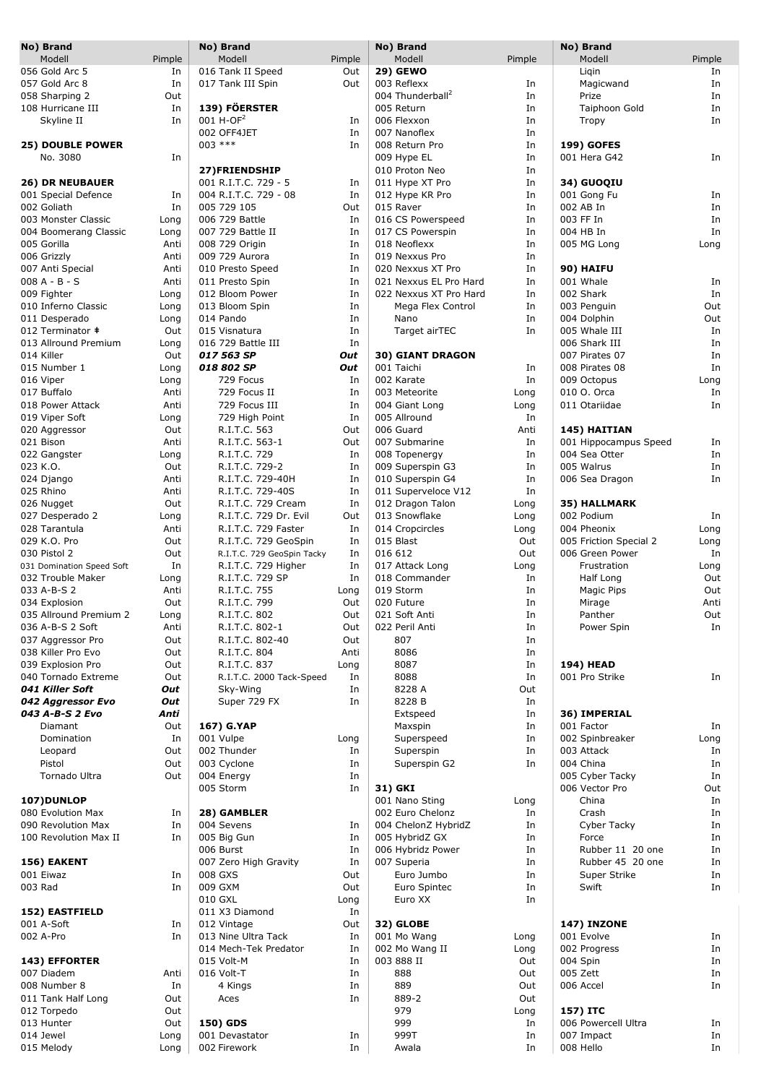| No) Brand                 |        | No) Brand                  |        | No) Brand                    |        | No) Brand              |        |
|---------------------------|--------|----------------------------|--------|------------------------------|--------|------------------------|--------|
| Modell                    | Pimple | Modell                     | Pimple | Modell                       | Pimple | Modell                 | Pimple |
| 056 Gold Arc 5            | In     | 016 Tank II Speed          | Out    | <b>29) GEWO</b>              |        | Ligin                  | In     |
| 057 Gold Arc 8            | In     | 017 Tank III Spin          | Out    | 003 Reflexx                  | In     | Magicwand              | In     |
| 058 Sharping 2            | Out    |                            |        | 004 Thunderball <sup>2</sup> | In     | Prize                  | In     |
|                           |        | 139) FÖERSTER              |        |                              |        |                        |        |
| 108 Hurricane III         | In     |                            |        | 005 Return                   | In     | Taiphoon Gold          | In     |
| Skyline II                | In     | $001 H$ -OF <sup>2</sup>   | In     | 006 Flexxon                  | In     | Tropy                  | In     |
|                           |        | 002 OFF4JET                | In     | 007 Nanoflex                 | In     |                        |        |
| <b>25) DOUBLE POWER</b>   |        | 003 ***                    | In     | 008 Return Pro               | In     | <b>199) GOFES</b>      |        |
| No. 3080                  | In     |                            |        | 009 Hype EL                  | In     | 001 Hera G42           | In     |
|                           |        | 27)FRIENDSHIP              |        | 010 Proton Neo               | In     |                        |        |
| <b>26) DR NEUBAUER</b>    |        | 001 R.I.T.C. 729 - 5       | In     | 011 Hype XT Pro              | In     | 34) GUOQIU             |        |
| 001 Special Defence       | In     | 004 R.I.T.C. 729 - 08      | In     | 012 Hype KR Pro              | In     | 001 Gong Fu            | In     |
| 002 Goliath               | In     | 005 729 105                | Out    | 015 Raver                    | In     | 002 AB In              | In     |
| 003 Monster Classic       |        | 006 729 Battle             | In     | 016 CS Powerspeed            | In     | 003 FF In              | In     |
|                           | Long   |                            |        |                              |        |                        |        |
| 004 Boomerang Classic     | Long   | 007 729 Battle II          | In     | 017 CS Powerspin             | In     | 004 HB In              | In     |
| 005 Gorilla               | Anti   | 008 729 Origin             | In     | 018 Neoflexx                 | In     | 005 MG Long            | Long   |
| 006 Grizzly               | Anti   | 009 729 Aurora             | In     | 019 Nexxus Pro               | In     |                        |        |
| 007 Anti Special          | Anti   | 010 Presto Speed           | In     | 020 Nexxus XT Pro            | In     | 90) HAIFU              |        |
| 008 A - B - S             | Anti   | 011 Presto Spin            | In     | 021 Nexxus EL Pro Hard       | In     | 001 Whale              | In     |
| 009 Fighter               | Long   | 012 Bloom Power            | In     | 022 Nexxus XT Pro Hard       | In     | 002 Shark              | In     |
| 010 Inferno Classic       | Long   | 013 Bloom Spin             | In     | Mega Flex Control            | In     | 003 Penguin            | Out    |
|                           |        | 014 Pando                  | In     | Nano                         | In     | 004 Dolphin            | Out    |
| 011 Desperado             | Long   |                            |        |                              |        |                        |        |
| 012 Terminator #          | Out    | 015 Visnatura              | In     | Target airTEC                | In     | 005 Whale III          | In     |
| 013 Allround Premium      | Long   | 016 729 Battle III         | In     |                              |        | 006 Shark III          | In     |
| 014 Killer                | Out    | 017 563 SP                 | Out    | <b>30) GIANT DRAGON</b>      |        | 007 Pirates 07         | In     |
| 015 Number 1              | Long   | 018 802 SP                 | Out    | 001 Taichi                   | In     | 008 Pirates 08         | In     |
| 016 Viper                 | Long   | 729 Focus                  | In     | 002 Karate                   | In     | 009 Octopus            | Long   |
| 017 Buffalo               | Anti   | 729 Focus II               | In     | 003 Meteorite                | Long   | 010 O. Orca            | In     |
| 018 Power Attack          | Anti   | 729 Focus III              | In     | 004 Giant Long               | Long   | 011 Otariidae          | In     |
|                           |        | 729 High Point             | In     | 005 Allround                 | In     |                        |        |
| 019 Viper Soft            | Long   |                            |        |                              |        |                        |        |
| 020 Aggressor             | Out    | R.I.T.C. 563               | Out    | 006 Guard                    | Anti   | 145) HAITIAN           |        |
| 021 Bison                 | Anti   | R.I.T.C. 563-1             | Out    | 007 Submarine                | In     | 001 Hippocampus Speed  | In     |
| 022 Gangster              | Long   | R.I.T.C. 729               | In     | 008 Topenergy                | In     | 004 Sea Otter          | In     |
| 023 K.O.                  | Out    | R.I.T.C. 729-2             | In     | 009 Superspin G3             | In     | 005 Walrus             | In     |
| 024 Django                | Anti   | R.I.T.C. 729-40H           | In     | 010 Superspin G4             | In     | 006 Sea Dragon         | In     |
| 025 Rhino                 | Anti   | R.I.T.C. 729-40S           | In     | 011 Superveloce V12          | In     |                        |        |
| 026 Nugget                | Out    | R.I.T.C. 729 Cream         | In     | 012 Dragon Talon             | Long   | 35) HALLMARK           |        |
| 027 Desperado 2           | Long   | R.I.T.C. 729 Dr. Evil      | Out    | 013 Snowflake                | Long   | 002 Podium             | In     |
| 028 Tarantula             | Anti   | R.I.T.C. 729 Faster        | In     | 014 Cropcircles              | Long   | 004 Pheonix            | Long   |
|                           |        |                            |        |                              |        |                        |        |
| 029 K.O. Pro              | Out    | R.I.T.C. 729 GeoSpin       | In     | 015 Blast                    | Out    | 005 Friction Special 2 | Long   |
| 030 Pistol 2              | Out    | R.I.T.C. 729 GeoSpin Tacky | In     | 016 612                      | Out    | 006 Green Power        | In     |
| 031 Domination Speed Soft | In     | R.I.T.C. 729 Higher        | In     | 017 Attack Long              | Long   | Frustration            | Long   |
| 032 Trouble Maker         | Long   | R.I.T.C. 729 SP            | In     | 018 Commander                | In     | Half Long              | Out    |
| 033 A-B-S 2               | Anti   | R.I.T.C. 755               | Long   | 019 Storm                    | In     | Magic Pips             | Out    |
| 034 Explosion             | Out    | R.I.T.C. 799               | Out    | 020 Future                   | In     | Mirage                 | Anti   |
| 035 Allround Premium 2    | Long   | R.I.T.C. 802               | Out    | 021 Soft Anti                | In     | Panther                | Out    |
| 036 A-B-S 2 Soft          | Anti   | R.I.T.C. 802-1             | Out    | 022 Peril Anti               | In     | Power Spin             | In     |
| 037 Aggressor Pro         | Out    | R.I.T.C. 802-40            | Out    | 807                          | In     |                        |        |
|                           |        |                            |        | 8086                         |        |                        |        |
| 038 Killer Pro Evo        | Out    | R.I.T.C. 804               | Anti   |                              | In     |                        |        |
| 039 Explosion Pro         | Out    | R.I.T.C. 837               | Long   | 8087                         | In     | <b>194) HEAD</b>       |        |
| 040 Tornado Extreme       | Out    | R.I.T.C. 2000 Tack-Speed   | In     | 8088                         | In     | 001 Pro Strike         | In     |
| 041 Killer Soft           | Out    | Sky-Wing                   | In     | 8228 A                       | Out    |                        |        |
| 042 Aggressor Evo         | Out    | Super 729 FX               | In     | 8228 B                       | In     |                        |        |
| 043 A-B-S 2 Evo           | Anti   |                            |        | Extspeed                     | In     | 36) IMPERIAL           |        |
| Diamant                   | Out    | 167) G.YAP                 |        | Maxspin                      | In     | 001 Factor             | In     |
| Domination                | In     | 001 Vulpe                  | Long   | Superspeed                   | In     | 002 Spinbreaker        | Long   |
| Leopard                   | Out    | 002 Thunder                | In     | Superspin                    | In     | 003 Attack             | In     |
| Pistol                    | Out    | 003 Cyclone                | In     |                              | In     | 004 China              | In     |
|                           |        |                            |        | Superspin G2                 |        |                        |        |
| Tornado Ultra             | Out    | 004 Energy                 | In     |                              |        | 005 Cyber Tacky        | In     |
|                           |        | 005 Storm                  | In     | 31) GKI                      |        | 006 Vector Pro         | Out    |
| 107) DUNLOP               |        |                            |        | 001 Nano Sting               | Long   | China                  | In     |
| 080 Evolution Max         | In     | 28) GAMBLER                |        | 002 Euro Chelonz             | In     | Crash                  | In     |
| 090 Revolution Max        | In     | 004 Sevens                 | In     | 004 ChelonZ HybridZ          | In     | Cyber Tacky            | In     |
| 100 Revolution Max II     | In     | 005 Big Gun                | In     | 005 HybridZ GX               | In     | Force                  | In     |
|                           |        | 006 Burst                  | In     | 006 Hybridz Power            | In     | Rubber 11 20 one       | In     |
| 156) EAKENT               |        | 007 Zero High Gravity      | In     | 007 Superia                  | In     | Rubber 45 20 one       | In     |
| 001 Eiwaz                 | In     | 008 GXS                    | Out    | Euro Jumbo                   | In     | Super Strike           | In     |
|                           |        |                            |        |                              |        |                        |        |
| 003 Rad                   | In     | 009 GXM                    | Out    | Euro Spintec                 | In     | Swift                  | In     |
|                           |        | 010 GXL                    | Long   | Euro XX                      | In     |                        |        |
| 152) EASTFIELD            |        | 011 X3 Diamond             | In     |                              |        |                        |        |
| 001 A-Soft                | In     | 012 Vintage                | Out    | 32) GLOBE                    |        | 147) INZONE            |        |
| 002 A-Pro                 | In     | 013 Nine Ultra Tack        | In     | 001 Mo Wang                  | Long   | 001 Evolve             | In     |
|                           |        | 014 Mech-Tek Predator      | In     | 002 Mo Wang II               | Long   | 002 Progress           | In     |
| 143) EFFORTER             |        | 015 Volt-M                 | In     | 003 888 II                   | Out    | 004 Spin               | In     |
| 007 Diadem                | Anti   | 016 Volt-T                 | In     | 888                          | Out    | 005 Zett               | In     |
|                           |        |                            |        |                              |        |                        |        |
| 008 Number 8              | In     | 4 Kings                    | In     | 889                          | Out    | 006 Accel              | In     |
| 011 Tank Half Long        | Out    | Aces                       | In     | 889-2                        | Out    |                        |        |
| 012 Torpedo               | Out    |                            |        | 979                          | Long   | 157) ITC               |        |
| 013 Hunter                | Out    | 150) GDS                   |        | 999                          | In     | 006 Powercell Ultra    | In     |
| 014 Jewel                 | Long   | 001 Devastator             | In     | 999T                         | In     | 007 Impact             | In     |
| 015 Melody                | Long   | 002 Firework               | In     | Awala                        | In     | 008 Hello              | In     |
|                           |        |                            |        |                              |        |                        |        |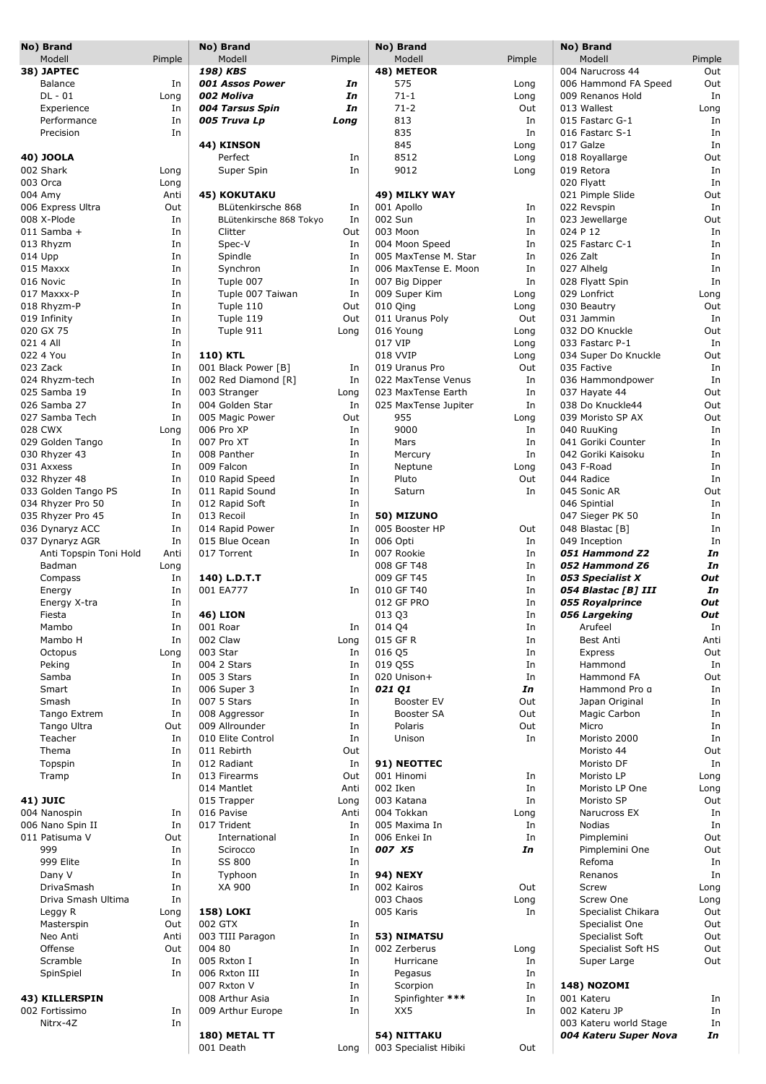| No) Brand                 |            | No) Brand                     |          | No) Brand                            |              | No) Brand                                |           |
|---------------------------|------------|-------------------------------|----------|--------------------------------------|--------------|------------------------------------------|-----------|
| Modell                    | Pimple     | Modell                        | Pimple   | Modell                               | Pimple       | Modell                                   | Pimple    |
| 38) JAPTEC                |            | 198) KBS                      |          | 48) METEOR                           |              | 004 Narucross 44                         | Out       |
| Balance<br>$DL - 01$      | In<br>Long | 001 Assos Power<br>002 Moliva | In<br>In | 575<br>$71 - 1$                      | Long<br>Long | 006 Hammond FA Speed<br>009 Renanos Hold | Out<br>In |
| Experience                | In         | 004 Tarsus Spin               | In       | $71 - 2$                             | Out          | 013 Wallest                              | Long      |
| Performance               | In         | 005 Truva Lp                  | Long     | 813                                  | In           | 015 Fastarc G-1                          | In        |
| Precision                 | In         |                               |          | 835                                  | In           | 016 Fastarc S-1                          | In        |
|                           |            | 44) KINSON                    |          | 845                                  | Long         | 017 Galze                                | In        |
| 40) JOOLA                 |            | Perfect                       | In       | 8512                                 | Long         | 018 Royallarge                           | Out       |
| 002 Shark                 | Long       | Super Spin                    | In       | 9012                                 | Long         | 019 Retora                               | In        |
| 003 Orca                  | Long       |                               |          |                                      |              | 020 Flyatt                               | In        |
| 004 Amy                   | Anti       | <b>45) KOKUTAKU</b>           |          | 49) MILKY WAY                        |              | 021 Pimple Slide                         | Out       |
| 006 Express Ultra         | Out        | BLütenkirsche 868             | In       | 001 Apollo                           | In           | 022 Revspin                              | In        |
| 008 X-Plode               | In         | BLütenkirsche 868 Tokyo       | In       | 002 Sun                              | In           | 023 Jewellarge                           | Out       |
| $011$ Samba +             | In         | Clitter                       | Out      | 003 Moon                             | In           | 024 P 12                                 | In        |
| 013 Rhyzm                 | In         | Spec-V                        | In       | 004 Moon Speed                       | In           | 025 Fastarc C-1                          | In        |
| 014 Upp                   | In         | Spindle                       | In       | 005 MaxTense M. Star                 | In           | 026 Zalt                                 | In        |
| 015 Maxxx                 | In         | Synchron                      | In       | 006 MaxTense E. Moon                 | In           | 027 Alhelg                               | In        |
| 016 Novic                 | In         | Tuple 007                     | In       | 007 Big Dipper                       | In           | 028 Flyatt Spin                          | In        |
| 017 Maxxx-P               | In         | Tuple 007 Taiwan              | In       | 009 Super Kim                        | Long         | 029 Lonfrict                             | Long      |
| 018 Rhyzm-P               | In         | Tuple 110                     | Out      | 010 Qing                             | Long         | 030 Beautry                              | Out       |
| 019 Infinity<br>020 GX 75 | In         | Tuple 119<br>Tuple 911        | Out      | 011 Uranus Poly<br>016 Young         | Out          | 031 Jammin<br>032 DO Knuckle             | In<br>Out |
| 021 4 All                 | In<br>In   |                               | Long     | 017 VIP                              | Long<br>Long | 033 Fastarc P-1                          | In        |
| 022 4 You                 | In         | 110) KTL                      |          | 018 VVIP                             | Long         | 034 Super Do Knuckle                     | Out       |
| 023 Zack                  | In         | 001 Black Power [B]           | In       | 019 Uranus Pro                       | Out          | 035 Factive                              | In        |
| 024 Rhyzm-tech            | In         | 002 Red Diamond [R]           | In       | 022 MaxTense Venus                   | In           | 036 Hammondpower                         | In        |
| 025 Samba 19              | In         | 003 Stranger                  | Long     | 023 MaxTense Earth                   | In           | 037 Hayate 44                            | Out       |
| 026 Samba 27              | In         | 004 Golden Star               | In       | 025 MaxTense Jupiter                 | In           | 038 Do Knuckle44                         | Out       |
| 027 Samba Tech            | In         | 005 Magic Power               | Out      | 955                                  | Long         | 039 Moristo SP AX                        | Out       |
| 028 CWX                   | Long       | 006 Pro XP                    | In       | 9000                                 | In           | 040 RuuKing                              | In        |
| 029 Golden Tango          | In         | 007 Pro XT                    | In       | Mars                                 | In           | 041 Goriki Counter                       | In        |
| 030 Rhyzer 43             | In         | 008 Panther                   | In       | Mercury                              | In           | 042 Goriki Kaisoku                       | In        |
| 031 Axxess                | In         | 009 Falcon                    | In       | Neptune                              | Long         | 043 F-Road                               | In        |
| 032 Rhyzer 48             | In         | 010 Rapid Speed               | In       | Pluto                                | Out          | 044 Radice                               | In        |
| 033 Golden Tango PS       | In         | 011 Rapid Sound               | In       | Saturn                               | In           | 045 Sonic AR                             | Out       |
| 034 Rhyzer Pro 50         | In         | 012 Rapid Soft                | In       |                                      |              | 046 Spintial                             | In        |
| 035 Rhyzer Pro 45         | In         | 013 Recoil                    | In       | 50) MIZUNO                           |              | 047 Sieger PK 50                         | In        |
| 036 Dynaryz ACC           | In         | 014 Rapid Power               | In       | 005 Booster HP                       | Out          | 048 Blastac [B]                          | In        |
| 037 Dynaryz AGR           | In         | 015 Blue Ocean                | In       | 006 Opti                             | In           | 049 Inception                            | In        |
| Anti Topspin Toni Hold    | Anti       | 017 Torrent                   | In       | 007 Rookie                           | In           | 051 Hammond Z2                           | In        |
| Badman                    | Long       |                               |          | 008 GF T48                           | In           | 052 Hammond Z6                           | In        |
| Compass                   | In         | 140) L.D.T.T                  |          | 009 GF T45                           | In           | 053 Specialist X                         | Out       |
| Energy                    | In         | 001 EA777                     | In       | 010 GF T40                           | In           | 054 Blastac [B] III                      | In        |
| Energy X-tra              | In         |                               |          | 012 GF PRO                           | In           | 055 Royalprince                          | Out       |
| Fiesta                    | In         | <b>46) LION</b>               |          | 013 Q3                               | In           | 056 Largeking                            | Out       |
| Mambo                     | In         | 001 Roar                      | In       | 014 Q4                               | In           | Arufeel                                  | In        |
| Mambo H                   | In         | 002 Claw                      | Long     | 015 GF R                             | In           | Best Anti                                | Anti      |
| Octopus                   | Long       | 003 Star                      | In       | 016 Q5                               | In           | Express                                  | Out       |
| Peking                    | In         | 004 2 Stars                   | In       | 019 Q5S                              | In           | Hammond                                  | In        |
| Samba                     | In         | 005 3 Stars                   | In       | 020 Unison+                          | In           | Hammond FA                               | Out       |
| Smart                     | In         | 006 Super 3                   | In       | 021 Q1                               | In           | Hammond Pro a                            | In        |
| Smash                     | In         | 007 5 Stars                   | In       | Booster EV                           | Out          | Japan Original                           | In        |
| Tango Extrem              | In         | 008 Aggressor                 | In       | Booster SA                           | Out          | Magic Carbon                             | In        |
| Tango Ultra               | Out        | 009 Allrounder                | In       | Polaris                              | Out          | Micro                                    | In        |
| Teacher                   | In         | 010 Elite Control             | In       | Unison                               | In           | Moristo 2000                             | In        |
| Thema                     | In         | 011 Rebirth                   | Out      |                                      |              | Moristo 44                               | Out       |
| Topspin                   | In         | 012 Radiant                   | In       | 91) NEOTTEC                          |              | Moristo DF                               | In        |
| Tramp                     | In         | 013 Firearms                  | Out      | 001 Hinomi                           | In           | Moristo LP                               | Long      |
|                           |            | 014 Mantlet                   | Anti     | 002 Iken                             | In           | Moristo LP One                           | Long      |
| <b>41) JUIC</b>           |            | 015 Trapper                   | Long     | 003 Katana                           | In           | Moristo SP                               | Out       |
| 004 Nanospin              | In         | 016 Pavise                    | Anti     | 004 Tokkan                           | Long         | Narucross EX                             | In        |
| 006 Nano Spin II          | In         | 017 Trident                   | In       | 005 Maxima In                        | In           | <b>Nodias</b>                            | In        |
| 011 Patisuma V            | Out        | International                 | In       | 006 Enkei In                         | In           | Pimplemini                               | Out       |
| 999                       | In         | Scirocco                      | In       | 007 X5                               | In           | Pimplemini One                           | Out       |
| 999 Elite                 | In         | SS 800                        | In       |                                      |              | Refoma                                   | In        |
| Dany V                    | In         | Typhoon                       | In       | <b>94) NEXY</b>                      |              | Renanos                                  | In        |
| DrivaSmash                | In         | XA 900                        | In       | 002 Kairos                           | Out          | Screw                                    | Long      |
| Driva Smash Ultima        | In         |                               |          | 003 Chaos                            | Long         | Screw One                                | Long      |
| Leggy R                   | Long       | <b>158) LOKI</b>              |          | 005 Karis                            | In           | Specialist Chikara                       | Out       |
| Masterspin                | Out        | 002 GTX                       | In       |                                      |              | Specialist One                           | Out       |
| Neo Anti                  | Anti       | 003 TIII Paragon              | In       | 53) NIMATSU                          |              | Specialist Soft                          | Out       |
| Offense                   | Out        | 004 80                        | In       | 002 Zerberus                         | Long         | Specialist Soft HS                       | Out       |
| Scramble                  | In         | 005 Rxton I                   | In       | Hurricane                            | In           | Super Large                              | Out       |
| SpinSpiel                 | In         | 006 Rxton III                 | In       | Pegasus                              | In           |                                          |           |
|                           |            | 007 Rxton V                   | In       | Scorpion                             | In           | <b>148) NOZOMI</b>                       |           |
| 43) KILLERSPIN            |            | 008 Arthur Asia               | In       | Spinfighter ***                      | In           | 001 Kateru                               | In        |
| 002 Fortissimo            | In         | 009 Arthur Europe             | In       | XX5                                  | In           | 002 Kateru JP                            | In        |
| Nitrx-4Z                  | In         | 180) METAL TT                 |          |                                      |              | 003 Kateru world Stage                   | In        |
|                           |            | 001 Death                     | Long     | 54) NITTAKU<br>003 Specialist Hibiki | Out          | 004 Kateru Super Nova                    | In        |
|                           |            |                               |          |                                      |              |                                          |           |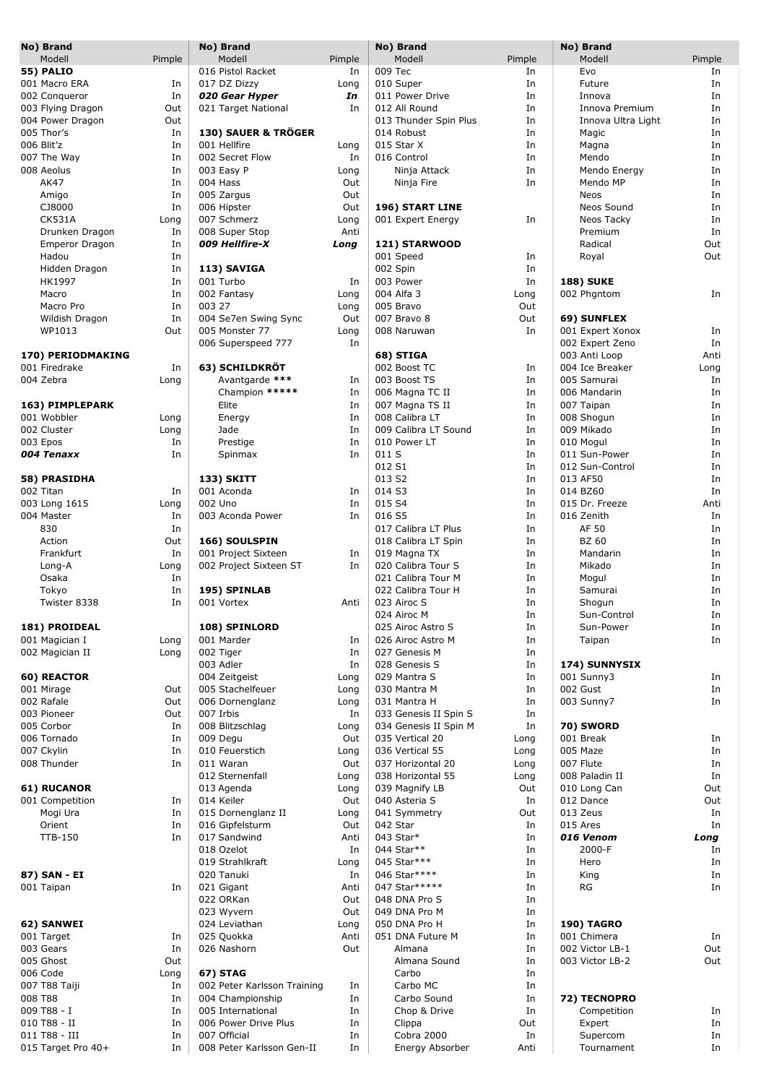| No) Brand                      |          | No) Brand                   |             | No) Brand                                |              | No) Brand                     |          |
|--------------------------------|----------|-----------------------------|-------------|------------------------------------------|--------------|-------------------------------|----------|
| Modell                         | Pimple   | Modell                      | Pimple      | Modell                                   | Pimple       | Modell                        | Pimple   |
| <b>55) PALIO</b>               |          | 016 Pistol Racket           | In          | 009 Tec                                  | In           | Evo                           | In       |
| 001 Macro ERA                  | In       | 017 DZ Dizzy                | Long        | 010 Super                                | In           | Future                        | In       |
| 002 Conqueror                  | In       | 020 Gear Hyper              | In          | 011 Power Drive                          | In           | Innova                        | In       |
| 003 Flying Dragon              | Out      | 021 Target National         | In          | 012 All Round                            | In           | Innova Premium                | In       |
| 004 Power Dragon<br>005 Thor's | Out      | 130) SAUER & TRÖGER         |             | 013 Thunder Spin Plus<br>014 Robust      | In<br>In     | Innova Ultra Light            | In<br>In |
| 006 Blit'z                     | In<br>In | 001 Hellfire                | Long        | 015 Star X                               | In           | Magic<br>Magna                | In       |
| 007 The Way                    | In       | 002 Secret Flow             | In          | 016 Control                              | In           | Mendo                         | In       |
| 008 Aeolus                     | In       | 003 Easy P                  | Long        | Ninja Attack                             | In           | Mendo Energy                  | In       |
| AK47                           | In       | 004 Hass                    | Out         | Ninja Fire                               | In           | Mendo MP                      | In       |
| Amigo                          | In       | 005 Zargus                  | Out         |                                          |              | Neos                          | In       |
| CJ8000                         | In       | 006 Hipster                 | Out         | 196) START LINE                          |              | Neos Sound                    | In       |
| <b>CK531A</b>                  | Long     | 007 Schmerz                 | Long        | 001 Expert Energy                        | In           | Neos Tacky                    | In       |
| Drunken Dragon                 | In       | 008 Super Stop              | Anti        |                                          |              | Premium                       | In       |
| <b>Emperor Dragon</b>          | In       | 009 Hellfire-X              | Long        | 121) STARWOOD                            |              | Radical                       | Out      |
| Hadou                          | In       |                             |             | 001 Speed                                | In           | Royal                         | Out      |
| Hidden Dragon                  | In       | 113) SAVIGA                 |             | 002 Spin                                 | In           |                               |          |
| HK1997                         | In       | 001 Turbo                   | In          | 003 Power                                | In           | <b>188) SUKE</b>              |          |
| Macro                          | In       | 002 Fantasy                 | Long        | 004 Alfa 3                               | Long         | 002 Phgntom                   | In       |
| Macro Pro                      | In       | 003 27                      | Long        | 005 Bravo                                | Out          |                               |          |
| Wildish Dragon                 | In       | 004 Se7en Swing Sync        | Out         | 007 Bravo 8                              | Out          | 69) SUNFLEX                   |          |
| WP1013                         | Out      | 005 Monster 77              | Long        | 008 Naruwan                              | In           | 001 Expert Xonox              | In       |
|                                |          | 006 Superspeed 777          | In          |                                          |              | 002 Expert Zeno               | In       |
| 170) PERIODMAKING              |          |                             |             | 68) STIGA                                |              | 003 Anti Loop                 | Anti     |
| 001 Firedrake                  | In       | 63) SCHILDKRÖT              |             | 002 Boost TC                             | In           | 004 Ice Breaker               | Long     |
| 004 Zebra                      | Long     | Avantgarde ***              | In          | 003 Boost TS                             | In           | 005 Samurai                   | In       |
|                                |          | Champion *****              | In          | 006 Magna TC II                          | In           | 006 Mandarin                  | In       |
| 163) PIMPLEPARK                |          | Elite                       | In          | 007 Magna TS II                          | In           | 007 Taipan                    | In       |
| 001 Wobbler                    | Long     | Energy                      | In          | 008 Calibra LT                           | In           | 008 Shogun                    | In       |
| 002 Cluster                    | Long     | Jade                        | In          | 009 Calibra LT Sound                     | In           | 009 Mikado                    | In       |
| 003 Epos                       | In       | Prestige                    | In          | 010 Power LT                             | In           | 010 Mogul                     | In       |
| 004 Tenaxx                     | In       | Spinmax                     | In          | 011 S                                    | In           | 011 Sun-Power                 | In       |
|                                |          |                             |             | 012 S1                                   | In           | 012 Sun-Control               | In       |
| 58) PRASIDHA                   |          | <b>133) SKITT</b>           |             | 013 S2                                   | In           | 013 AF50                      | In       |
| 002 Titan                      | In       | 001 Aconda                  | In          | 014 S3                                   | In           | 014 BZ60                      | In       |
| 003 Long 1615                  | Long     | 002 Uno                     | In          | 015 S4                                   | In           | 015 Dr. Freeze                | Anti     |
| 004 Master                     | In       | 003 Aconda Power            | In          | 016 S5                                   | In           | 016 Zenith                    | In       |
| 830                            | In       |                             |             | 017 Calibra LT Plus                      | In           | AF 50                         | In       |
| Action                         | Out      | 166) SOULSPIN               |             | 018 Calibra LT Spin                      | In           | <b>BZ 60</b>                  | In       |
| Frankfurt                      | In       | 001 Project Sixteen         | In          | 019 Magna TX                             | In           | Mandarin                      | In       |
| Long-A                         | Long     | 002 Project Sixteen ST      | In          | 020 Calibra Tour S                       | In           | Mikado                        | In       |
| Osaka                          | In       |                             |             | 021 Calibra Tour M                       | In           | Mogul                         | In       |
| Tokyo                          | In       | 195) SPINLAB                |             | 022 Calibra Tour H                       | In           | Samurai                       | In       |
| Twister 8338                   | In       | 001 Vortex                  | Anti        | 023 Airoc S                              | In           | Shogun                        | In       |
|                                |          |                             |             | 024 Airoc M                              | In           | Sun-Control                   | In       |
| 181) PROIDEAL                  |          | 108) SPINLORD               |             | 025 Airoc Astro S                        | In           | Sun-Power                     | In       |
| 001 Magician I                 | Long     | 001 Marder                  | In          | 026 Airoc Astro M                        | In           | Taipan                        | In       |
| 002 Magician II                | Long     | 002 Tiger                   | In          | 027 Genesis M                            | In           |                               |          |
|                                |          | 003 Adler                   | In          | 028 Genesis S                            | In           | 174) SUNNYSIX                 |          |
| 60) REACTOR                    |          | 004 Zeitgeist               | Long        | 029 Mantra S                             | In           | 001 Sunny3                    | In       |
| 001 Mirage                     | Out      | 005 Stachelfeuer            | Long        | 030 Mantra M                             | In           | 002 Gust                      | In       |
| 002 Rafale                     | Out      | 006 Dornenglanz             | Long        | 031 Mantra H                             | In           | 003 Sunny7                    | In       |
| 003 Pioneer                    | Out      | 007 Irbis                   | In          | 033 Genesis II Spin S                    | In           |                               |          |
| 005 Corbor<br>006 Tornado      | In<br>In | 008 Blitzschlag<br>009 Degu | Long        | 034 Genesis II Spin M<br>035 Vertical 20 | In           | <b>70) SWORD</b><br>001 Break |          |
| 007 Ckylin                     | In       | 010 Feuerstich              | Out<br>Long | 036 Vertical 55                          | Long<br>Long | 005 Maze                      | In<br>In |
| 008 Thunder                    | In       | 011 Waran                   | Out         | 037 Horizontal 20                        | Long         | 007 Flute                     | In       |
|                                |          | 012 Sternenfall             | Long        | 038 Horizontal 55                        | Long         | 008 Paladin II                | In       |
| 61) RUCANOR                    |          | 013 Agenda                  | Long        | 039 Magnify LB                           | Out          | 010 Long Can                  | Out      |
| 001 Competition                | In       | 014 Keiler                  | Out         | 040 Asteria S                            | In           | 012 Dance                     | Out      |
| Mogi Ura                       | In       | 015 Dornenglanz II          | Long        | 041 Symmetry                             | Out          | 013 Zeus                      | In       |
| Orient                         | In       | 016 Gipfelsturm             | Out         | 042 Star                                 | In           | 015 Ares                      | In       |
| <b>TTB-150</b>                 | In       | 017 Sandwind                | Anti        | 043 Star*                                | In           | 016 Venom                     | Long     |
|                                |          | 018 Ozelot                  | In          | 044 Star**                               | In           | 2000-F                        | In       |
|                                |          | 019 Strahlkraft             | Long        | 045 Star***                              | In           | Hero                          | In       |
| 87) SAN - EI                   |          | 020 Tanuki                  | In          | 046 Star****                             | In           | King                          | In       |
| 001 Taipan                     | In       | 021 Gigant                  | Anti        | 047 Star*****                            | In           | RG                            | In       |
|                                |          | 022 ORKan                   | Out         | 048 DNA Pro S                            | In           |                               |          |
|                                |          | 023 Wyvern                  | Out         | 049 DNA Pro M                            | In           |                               |          |
| 62) SANWEI                     |          | 024 Leviathan               | Long        | 050 DNA Pro H                            | In           | <b>190) TAGRO</b>             |          |
| 001 Target                     | In       | 025 Quokka                  | Anti        | 051 DNA Future M                         | In           | 001 Chimera                   | In       |
| 003 Gears                      | In       | 026 Nashorn                 | Out         | Almana                                   | In           | 002 Victor LB-1               | Out      |
| 005 Ghost                      | Out      |                             |             | Almana Sound                             | In           | 003 Victor LB-2               | Out      |
| 006 Code                       | Long     | 67) STAG                    |             | Carbo                                    | In           |                               |          |
| 007 T88 Taiji                  | In       | 002 Peter Karlsson Training | In          | Carbo MC                                 | In           |                               |          |
| 008 T88                        | In       | 004 Championship            | In          | Carbo Sound                              | In           | 72) TECNOPRO                  |          |
| 009 T88 - I                    | In       | 005 International           | In          | Chop & Drive                             | In           | Competition                   | In       |
| 010 T88 - II                   | In       | 006 Power Drive Plus        | In          | Clippa                                   | Out          | Expert                        | In       |
| 011 T88 - III                  | In       | 007 Official                | In          | Cobra 2000                               | In           | Supercom                      | In       |
| 015 Target Pro 40+             | In       | 008 Peter Karlsson Gen-II   | In          | Energy Absorber                          | Anti         | Tournament                    | In       |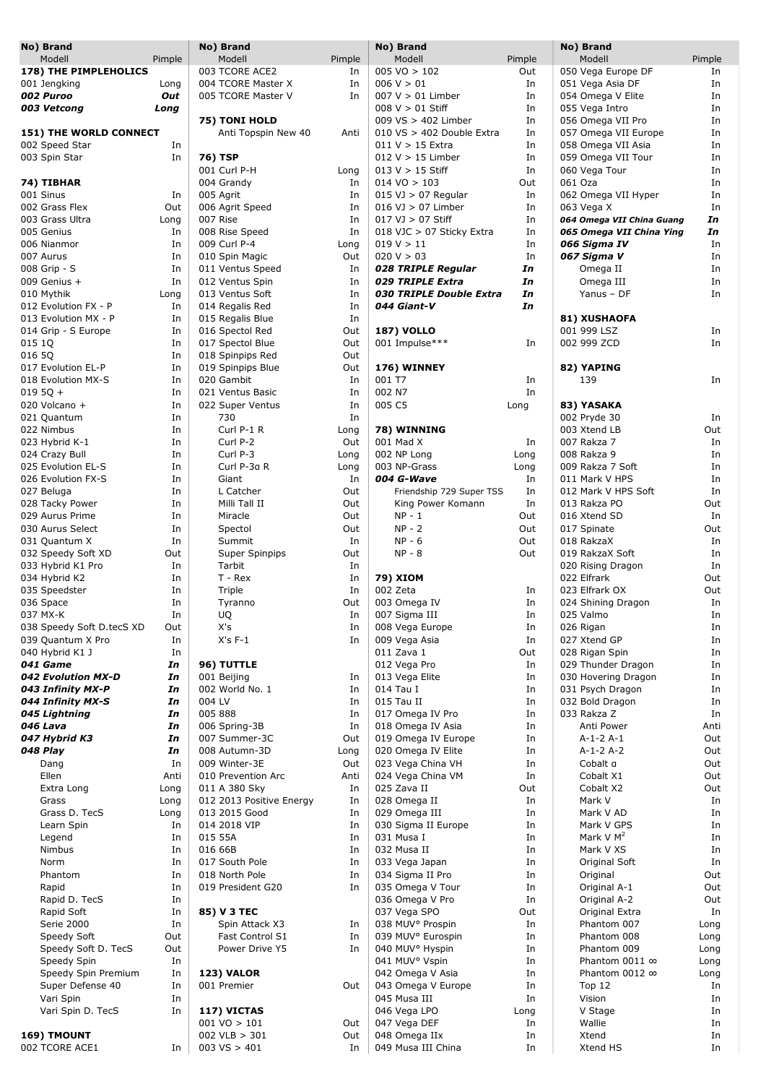| No) Brand                 |           | No) Brand                         |            | No) Brand                                 |          | No) Brand                       |              |
|---------------------------|-----------|-----------------------------------|------------|-------------------------------------------|----------|---------------------------------|--------------|
| Modell                    | Pimple    | Modell                            | Pimple     | Modell                                    | Pimple   | Modell                          | Pimple       |
| 178) THE PIMPLEHOLICS     |           | 003 TCORE ACE2                    | In         | $005 \text{ VO} > 102$                    | Out      | 050 Vega Europe DF              | In           |
| 001 Jengking              | Long      | 004 TCORE Master X                | In         | 006 V > 01                                | In       | 051 Vega Asia DF                | In           |
| 002 Puroo                 | Out       | 005 TCORE Master V                | In         | $007 V > 01$ Limber                       | In       | 054 Omega V Elite               | In           |
| 003 Vetcong               | Long      |                                   |            | $008 V > 01$ Stiff                        | In       | 055 Vega Intro                  | In           |
|                           |           | 75) TONI HOLD                     |            | 009 VS > 402 Limber                       | In       | 056 Omega VII Pro               | In           |
| 151) THE WORLD CONNECT    |           | Anti Topspin New 40               | Anti       | 010 VS > 402 Double Extra                 | In       | 057 Omega VII Europe            | In           |
| 002 Speed Star            | In        |                                   |            | $011 V > 15$ Extra                        | In       | 058 Omega VII Asia              | In           |
| 003 Spin Star             | In        | 76) TSP                           |            | $012 V > 15$ Limber<br>$013 V > 15$ Stiff | In<br>In | 059 Omega VII Tour              | In           |
|                           |           | 001 Curl P-H<br>004 Grandy        | Long<br>In | $014 \text{ VO} > 103$                    | Out      | 060 Vega Tour<br>061 Oza        | In<br>In     |
| 74) TIBHAR<br>001 Sinus   | In        | 005 Agrit                         | In         | $015$ VJ $> 07$ Regular                   | In       | 062 Omega VII Hyper             | In           |
| 002 Grass Flex            | Out       | 006 Agrit Speed                   | In         | $016$ VJ $> 07$ Limber                    | In       | 063 Vega X                      | In           |
| 003 Grass Ultra           | Long      | 007 Rise                          | In         | $017 \text{ V}$ > 07 Stiff                | In       | 064 Omega VII China Guang       | In           |
| 005 Genius                | In        | 008 Rise Speed                    | In         | 018 VJC > 07 Sticky Extra                 | In       | 065 Omega VII China Ying        | In           |
| 006 Nianmor               | In        | 009 Curl P-4                      | Long       | 019 V > 11                                | In       | 066 Sigma IV                    | In           |
| 007 Aurus                 | In        | 010 Spin Magic                    | Out        | 020 V > 03                                | In       | 067 Sigma V                     | In           |
| 008 Grip - S              | In        | 011 Ventus Speed                  | In         | 028 TRIPLE Regular                        | In       | Omega II                        | In           |
| 009 Genius +              | In        | 012 Ventus Spin                   | In         | 029 TRIPLE Extra                          | In       | Omega III                       | In           |
| 010 Mythik                | Long      | 013 Ventus Soft                   | In         | 030 TRIPLE Double Extra                   | In       | Yanus - DF                      | In           |
| 012 Evolution FX - P      | In        | 014 Regalis Red                   | In         | 044 Giant-V                               | In       |                                 |              |
| 013 Evolution MX - P      | In        | 015 Regalis Blue                  | In         |                                           |          | 81) XUSHAOFA                    |              |
| 014 Grip - S Europe       | In        | 016 Spectol Red                   | Out        | <b>187) VOLLO</b>                         |          | 001 999 LSZ                     | In           |
| 015 1Q                    | In        | 017 Spectol Blue                  | Out        | 001 Impulse***                            | In       | 002 999 ZCD                     | In           |
| 016 50                    | In        | 018 Spinpips Red                  | Out        |                                           |          |                                 |              |
| 017 Evolution EL-P        | In        | 019 Spinpips Blue                 | Out        | 176) WINNEY                               |          | 82) YAPING                      |              |
| 018 Evolution MX-S        | In        | 020 Gambit                        | In         | 001 T7                                    | In       | 139                             | In           |
| $0195Q +$                 | In        | 021 Ventus Basic                  | In         | 002 N7                                    | In       |                                 |              |
| 020 Volcano +             | In        | 022 Super Ventus                  | In         | 005 C5                                    | Long     | 83) YASAKA                      |              |
| 021 Quantum               | In        | 730                               | In         |                                           |          | 002 Pryde 30                    | In           |
| 022 Nimbus                | In        | Curl P-1 R                        | Long       | 78) WINNING                               |          | 003 Xtend LB                    | Out          |
| 023 Hybrid K-1            | In        | Curl P-2                          | Out        | 001 Mad X                                 | In       | 007 Rakza 7                     | In           |
| 024 Crazy Bull            | In        | Curl P-3                          | Long       | 002 NP Long                               | Long     | 008 Rakza 9                     | In           |
| 025 Evolution EL-S        | In        | Curl P-3a R                       | Long       | 003 NP-Grass                              | Long     | 009 Rakza 7 Soft                | In           |
| 026 Evolution FX-S        | In        | Giant                             | In         | 004 G-Wave                                | In       | 011 Mark V HPS                  | In           |
| 027 Beluga                | In        | L Catcher                         | Out        | Friendship 729 Super TSS                  | In       | 012 Mark V HPS Soft             | In           |
| 028 Tacky Power           | In        | Milli Tall II                     | Out        | King Power Komann                         | In       | 013 Rakza PO                    | Out          |
| 029 Aurus Prime           | In        | Miracle                           | Out        | $NP - 1$                                  | Out      | 016 Xtend SD                    | In           |
| 030 Aurus Select          | In        | Spectol                           | Out        | $NP - 2$                                  | Out      | 017 Spinate                     | Out          |
| 031 Quantum X             | In        | Summit                            | In         | $NP - 6$                                  | Out      | 018 RakzaX                      | In           |
| 032 Speedy Soft XD        | Out       | Super Spinpips                    | Out        | $NP - 8$                                  | Out      | 019 RakzaX Soft                 | In           |
| 033 Hybrid K1 Pro         | In        | Tarbit                            | In         |                                           |          | 020 Rising Dragon               | In           |
| 034 Hybrid K2             | In        | $T - Rex$                         | In         | 79) XIOM                                  |          | 022 Elfrark                     | Out          |
| 035 Speedster             | In        | Triple                            | In         | 002 Zeta                                  | In       | 023 Elfrark OX                  | Out          |
| 036 Space<br>037 MX-K     | In<br>In  | Tyranno                           | Out<br>In  | 003 Omega IV<br>007 Sigma III             | In       | 024 Shining Dragon<br>025 Valmo | In           |
| 038 Speedy Soft D.tecS XD | Out       | UQ<br>X's                         | In         | 008 Vega Europe                           | In<br>In | 026 Rigan                       | In<br>In     |
| 039 Quantum X Pro         | In        | $X's F-1$                         | In         | 009 Vega Asia                             | In       | 027 Xtend GP                    | In           |
| 040 Hybrid K1 J           | In        |                                   |            | 011 Zava 1                                | Out      | 028 Rigan Spin                  | In           |
| 041 Game                  | In        | 96) TUTTLE                        |            | 012 Vega Pro                              | In       | 029 Thunder Dragon              | In           |
| 042 Evolution MX-D        | In        | 001 Beijing                       | In         | 013 Vega Elite                            | In       | 030 Hovering Dragon             | In           |
| 043 Infinity MX-P         | In        | 002 World No. 1                   | In         | 014 Tau I                                 | In       | 031 Psych Dragon                | In           |
| 044 Infinity MX-S         | In        | 004 LV                            | In         | 015 Tau II                                | In       | 032 Bold Dragon                 | In           |
| 045 Lightning             | In        | 005 888                           | In         | 017 Omega IV Pro                          | In       | 033 Rakza Z                     | In           |
| 046 Lava                  | In        | 006 Spring-3B                     | In         | 018 Omega IV Asia                         | In       | Anti Power                      | Anti         |
| 047 Hybrid K3             | In        | 007 Summer-3C                     | Out        | 019 Omega IV Europe                       | In       | $A-1-2A-1$                      | Out          |
| 048 Play                  | In        | 008 Autumn-3D                     | Long       | 020 Omega IV Elite                        | In       | $A-1-2A-2$                      | Out          |
| Dang                      | In        | 009 Winter-3E                     | Out        | 023 Vega China VH                         | In       | Cobalt a                        | Out          |
| Ellen                     | Anti      | 010 Prevention Arc                | Anti       | 024 Vega China VM                         | In       | Cobalt X1                       | Out          |
| Extra Long                | Long      | 011 A 380 Sky                     | In         | 025 Zava II                               | Out      | Cobalt X2                       | Out          |
| Grass                     | Long      | 012 2013 Positive Energy          | In         | 028 Omega II                              | In       | Mark V                          | In           |
| Grass D. TecS             | Long      | 013 2015 Good                     | In         | 029 Omega III                             | In       | Mark V AD                       | In           |
| Learn Spin                | In        | 014 2018 VIP                      | In         | 030 Sigma II Europe                       | In       | Mark V GPS                      | In           |
| Legend                    | In        | 015 55A                           | In         | 031 Musa I                                | In       | Mark V $M^2$                    | In           |
| Nimbus                    | In        | 016 66B                           | In         | 032 Musa II                               | In       | Mark V XS                       | In           |
| Norm                      | In        | 017 South Pole                    | In         | 033 Vega Japan                            | In       | Original Soft                   | In           |
| Phantom                   | In        | 018 North Pole                    | In         | 034 Sigma II Pro                          | In       | Original                        | Out          |
| Rapid                     | In        | 019 President G20                 | In         | 035 Omega V Tour                          | In       | Original A-1                    | Out          |
| Rapid D. TecS             | In        |                                   |            | 036 Omega V Pro                           | In       | Original A-2                    | Out          |
| Rapid Soft                | In        | 85) V 3 TEC                       |            | 037 Vega SPO                              | Out      | Original Extra                  | In           |
| Serie 2000<br>Speedy Soft | In<br>Out | Spin Attack X3<br>Fast Control S1 | In<br>In   | 038 MUV° Prospin<br>039 MUV° Eurospin     | In<br>In | Phantom 007<br>Phantom 008      | Long         |
| Speedy Soft D. TecS       | Out       | Power Drive Y5                    | In         | 040 MUV° Hyspin                           | In       | Phantom 009                     | Long         |
| Speedy Spin               | In        |                                   |            | 041 MUV° Vspin                            | In       | Phantom $0011 \infty$           | Long         |
| Speedy Spin Premium       | In        | <b>123) VALOR</b>                 |            | 042 Omega V Asia                          | In       | Phantom 0012 $\infty$           | Long<br>Long |
| Super Defense 40          | In        | 001 Premier                       | Out        | 043 Omega V Europe                        | In       | Top $12$                        | In           |
| Vari Spin                 | In        |                                   |            | 045 Musa III                              | In       | Vision                          | In           |
| Vari Spin D. TecS         | In        | 117) VICTAS                       |            | 046 Vega LPO                              | Long     | V Stage                         | In           |
|                           |           | $001 \text{ VO} > 101$            | Out        | 047 Vega DEF                              | In       | Wallie                          | In           |
| 169) TMOUNT               |           | 002 VLB $>$ 301                   | Out        | 048 Omega IIx                             | In       | Xtend                           | In           |
| 002 TCORE ACE1            | In        | 003 VS > 401                      | In         | 049 Musa III China                        | In       | Xtend HS                        | In           |
|                           |           |                                   |            |                                           |          |                                 |              |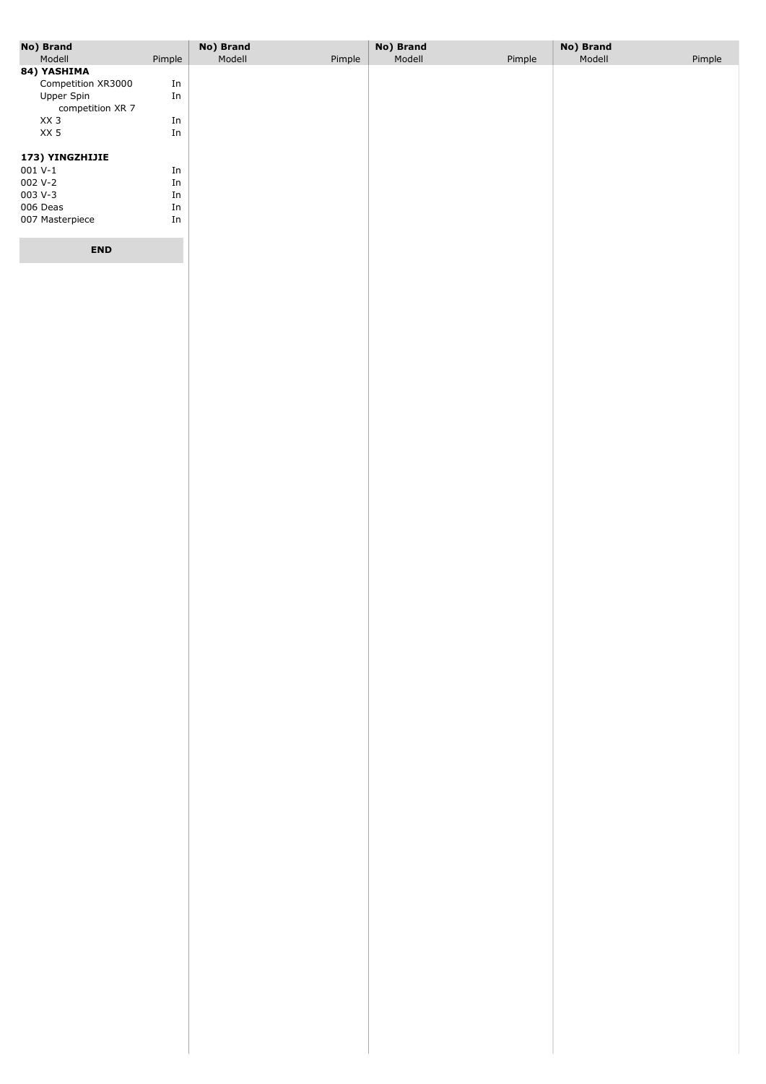| No) Brand                         |                     | No) Brand |        | No) Brand |        | No) Brand |        |
|-----------------------------------|---------------------|-----------|--------|-----------|--------|-----------|--------|
| Modell                            | Pimple              | Modell    | Pimple | Modell    | Pimple | Modell    | Pimple |
| 84) YASHIMA<br>Competition XR3000 | ${\rm In}$          |           |        |           |        |           |        |
| Upper Spin                        | In                  |           |        |           |        |           |        |
| competition XR 7                  |                     |           |        |           |        |           |        |
| XX <sub>3</sub>                   | ${\rm In}$          |           |        |           |        |           |        |
| XX 5                              | ${\rm In}$          |           |        |           |        |           |        |
| 173) YINGZHIJIE                   |                     |           |        |           |        |           |        |
| $001 V-1$                         | $\operatorname{In}$ |           |        |           |        |           |        |
| 002 V-2                           | ${\rm In}$          |           |        |           |        |           |        |
| 003 V-3                           | ${\rm In}$          |           |        |           |        |           |        |
| 006 Deas                          | ${\rm In}$          |           |        |           |        |           |        |
| 007 Masterpiece                   | ${\rm In}$          |           |        |           |        |           |        |
|                                   |                     |           |        |           |        |           |        |
| <b>END</b>                        |                     |           |        |           |        |           |        |
|                                   |                     |           |        |           |        |           |        |
|                                   |                     |           |        |           |        |           |        |
|                                   |                     |           |        |           |        |           |        |
|                                   |                     |           |        |           |        |           |        |
|                                   |                     |           |        |           |        |           |        |
|                                   |                     |           |        |           |        |           |        |
|                                   |                     |           |        |           |        |           |        |
|                                   |                     |           |        |           |        |           |        |
|                                   |                     |           |        |           |        |           |        |
|                                   |                     |           |        |           |        |           |        |
|                                   |                     |           |        |           |        |           |        |
|                                   |                     |           |        |           |        |           |        |
|                                   |                     |           |        |           |        |           |        |
|                                   |                     |           |        |           |        |           |        |
|                                   |                     |           |        |           |        |           |        |
|                                   |                     |           |        |           |        |           |        |
|                                   |                     |           |        |           |        |           |        |
|                                   |                     |           |        |           |        |           |        |
|                                   |                     |           |        |           |        |           |        |
|                                   |                     |           |        |           |        |           |        |
|                                   |                     |           |        |           |        |           |        |
|                                   |                     |           |        |           |        |           |        |
|                                   |                     |           |        |           |        |           |        |
|                                   |                     |           |        |           |        |           |        |
|                                   |                     |           |        |           |        |           |        |
|                                   |                     |           |        |           |        |           |        |
|                                   |                     |           |        |           |        |           |        |
|                                   |                     |           |        |           |        |           |        |
|                                   |                     |           |        |           |        |           |        |
|                                   |                     |           |        |           |        |           |        |
|                                   |                     |           |        |           |        |           |        |
|                                   |                     |           |        |           |        |           |        |
|                                   |                     |           |        |           |        |           |        |
|                                   |                     |           |        |           |        |           |        |
|                                   |                     |           |        |           |        |           |        |
|                                   |                     |           |        |           |        |           |        |
|                                   |                     |           |        |           |        |           |        |
|                                   |                     |           |        |           |        |           |        |
|                                   |                     |           |        |           |        |           |        |
|                                   |                     |           |        |           |        |           |        |
|                                   |                     |           |        |           |        |           |        |
|                                   |                     |           |        |           |        |           |        |
|                                   |                     |           |        |           |        |           |        |
|                                   |                     |           |        |           |        |           |        |
|                                   |                     |           |        |           |        |           |        |
|                                   |                     |           |        |           |        |           |        |
|                                   |                     |           |        |           |        |           |        |
|                                   |                     |           |        |           |        |           |        |
|                                   |                     |           |        |           |        |           |        |
|                                   |                     |           |        |           |        |           |        |
|                                   |                     |           |        |           |        |           |        |
|                                   |                     |           |        |           |        |           |        |